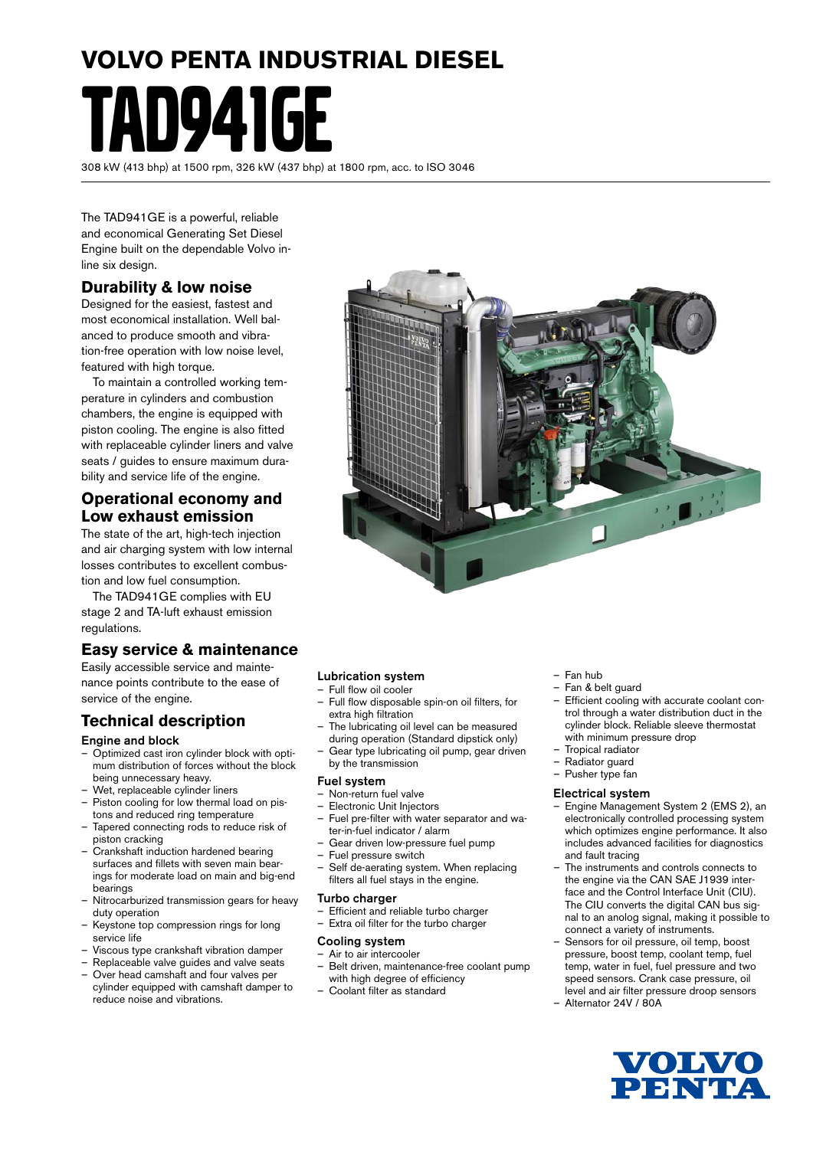# **VOLVO PENTA INDUSTRIAL DIESEL** TAD941GE

308 kW (413 bhp) at 1500 rpm, 326 kW (437 bhp) at 1800 rpm, acc. to ISO 3046

The TAD941GE is a powerful, reliable and economical Generating Set Diesel Engine built on the dependable Volvo inline six design.

#### **Durability & low noise**

Designed for the easiest, fastest and most economical installation. Well balanced to produce smooth and vibration-free operation with low noise level, featured with high torque.

To maintain a controlled working temperature in cylinders and combustion chambers, the engine is equipped with piston cooling. The engine is also fitted with replaceable cylinder liners and valve seats / guides to ensure maximum durability and service life of the engine.

#### **Operational economy and Low exhaust emission**

The state of the art, high-tech injection and air charging system with low internal losses contributes to excellent combustion and low fuel consumption.

The TAD941GE complies with EU stage 2 and TA-luft exhaust emission regulations.

#### **Easy service & maintenance**

Easily accessible service and maintenance points contribute to the ease of service of the engine.

#### **Technical description**

#### Engine and block

- Optimized cast iron cylinder block with optimum distribution of forces without the block being unnecessary heavy.
- Wet, replaceable cylinder liners
- Piston cooling for low thermal load on pistons and reduced ring temperature Tapered connecting rods to reduce risk of
- piston cracking – Crankshaft induction hardened bearing
- surfaces and fillets with seven main bearings for moderate load on main and big-end bearings
- Nitrocarburized transmission gears for heavy duty operation
- Keystone top compression rings for long service life
- Viscous type crankshaft vibration damper
- Replaceable valve guides and valve seats – Over head camshaft and four valves per
- cylinder equipped with camshaft damper to reduce noise and vibrations.

#### Lubrication system

- Full flow oil cooler
- Full flow disposable spin-on oil filters, for extra high filtration
- The lubricating oil level can be measured during operation (Standard dipstick only)
- Gear type lubricating oil pump, gear driven by the transmission

#### Fuel system

- Non-return fuel valve
- Electronic Unit Injectors
- Fuel pre-filter with water separator and water-in-fuel indicator / alarm
- Gear driven low-pressure fuel pump
- Fuel pressure switch
- Self de-aerating system. When replacing filters all fuel stays in the engine.

#### Turbo charger

- Efficient and reliable turbo charger
- Extra oil filter for the turbo charger

#### Cooling system

- Air to air intercooler – Belt driven, maintenance-free coolant pump with high degree of efficiency
- Coolant filter as standard

#### – Fan hub

- Fan & belt guard
- Efficient cooling with accurate coolant control through a water distribution duct in the cylinder block. Reliable sleeve thermostat with minimum pressure drop
- Tropical radiator
- Radiator guard
- Pusher type fan

#### Electrical system

- Engine Management System 2 (EMS 2), an electronically controlled processing system which optimizes engine performance. It also includes advanced facilities for diagnostics and fault tracing
- The instruments and controls connects to the engine via the CAN SAE J1939 interface and the Control Interface Unit (CIU). The CIU converts the digital CAN bus signal to an anolog signal, making it possible to connect a variety of instruments.
- Sensors for oil pressure, oil temp, boost pressure, boost temp, coolant temp, fuel temp, water in fuel, fuel pressure and two speed sensors. Crank case pressure, oil level and air filter pressure droop sensors
- Alternator 24V / 80A